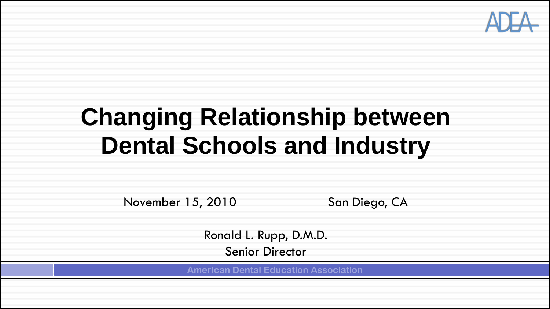

## **Changing Relationship between Dental Schools and Industry**

November 15, 2010 San Diego, CA

Ronald L. Rupp, D.M.D. Senior Director

**American Dental Education Association**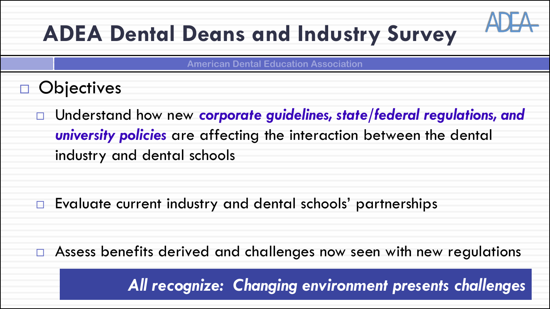## **ADEA Dental Deans and Industry Survey**

**American Dental Education Association**

- **Objectives** 
	- Understand how new *corporate guidelines, state/federal regulations, and university policies* are affecting the interaction between the dental industry and dental schools

□ Evaluate current industry and dental schools' partnerships

 $\Box$  Assess benefits derived and challenges now seen with new regulations

*All recognize: Changing environment presents challenges*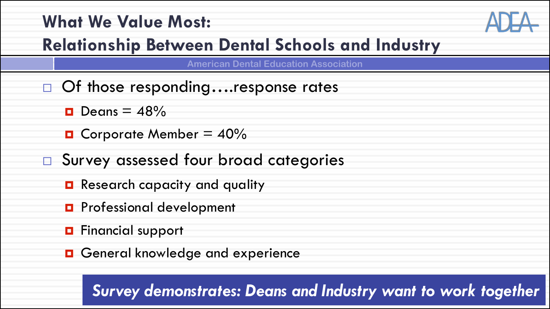### **What We Value Most:**



### **Relationship Between Dental Schools and Industry**

**American Dental Education Association**

- □ Of those responding....response rates
	- $\blacksquare$  Deans = 48%
	- **D** Corporate Member =  $40\%$
- □ Survey assessed four broad categories
	- **Research capacity and quality**
	- **D** Professional development
	- **D** Financial support
	- General knowledge and experience

*Survey demonstrates: Deans and Industry want to work together*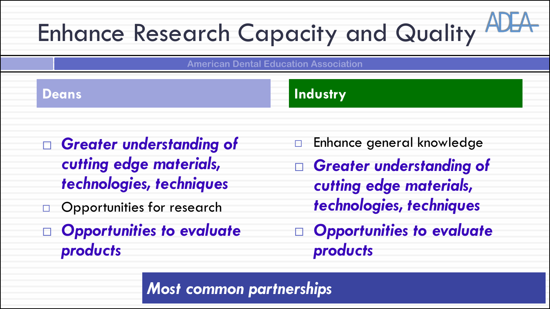# Enhance Research Capacity and Quality

**American Dental Education Association**

### **Deans Industry**

- *Greater understanding of cutting edge materials, technologies, techniques*
- Opportunities for research
- *Opportunities to evaluate products*
- **Enhance general knowledge**
- *Greater understanding of cutting edge materials, technologies, techniques*
- *Opportunities to evaluate products*

*Most common partnerships*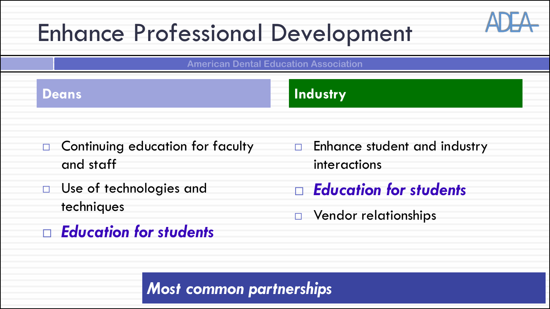## Enhance Professional Development

**American Dental Education Association**

### **Deans Industry**

- Continuing education for faculty and staff
- □ Use of technologies and techniques
- *Education for students*
- **Enhance student and industry** interactions
- *Education for students*
- **D** Vendor relationships

### *Most common partnerships*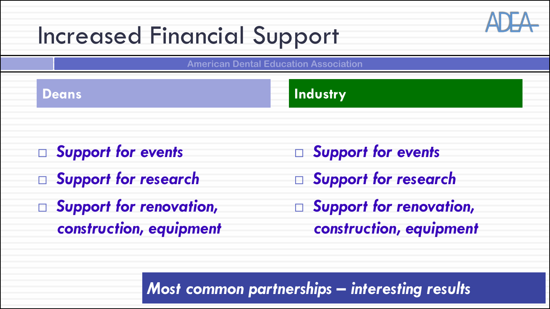## Increased Financial Support

**American Dental Education Association**

### **Deans Industry**

- *Support for events*
- *Support for research*
- *Support for renovation, construction, equipment*
- *Support for events*
- *Support for research*
- *Support for renovation, construction, equipment*

*Most common partnerships – interesting results*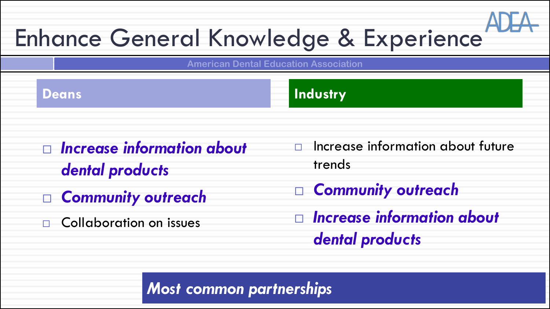## Enhance General Knowledge & Experience

**American Dental Education Association**

### **Deans Industry**

- *Increase information about dental products*
- *Community outreach*
- Collaboration on issues
- $\Box$  Increase information about future trends
- *Community outreach*
- *Increase information about dental products*

*Most common partnerships*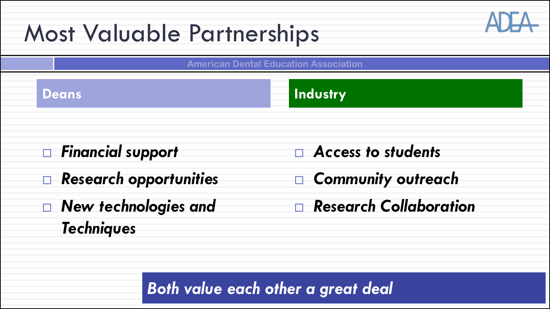## Most Valuable Partnerships

**American Dental Education Association**

### **Deans Industry**

- *Financial support*
- *Research opportunities*
- *New technologies and Techniques*
- *Access to students*
- *Community outreach*
- *Research Collaboration*

*Both value each other a great deal*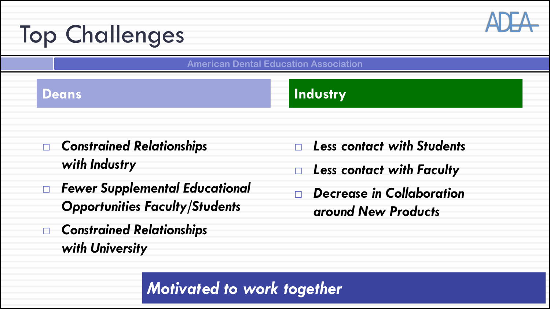## Top Challenges

**American Dental Education Association**

### **Deans** Industry

- *Constrained Relationships with Industry*
- *Fewer Supplemental Educational Opportunities Faculty/Students*
- *Constrained Relationships with University*
- *Less contact with Students*
- *Less contact with Faculty*
- *Decrease in Collaboration around New Products*

*Motivated to work together*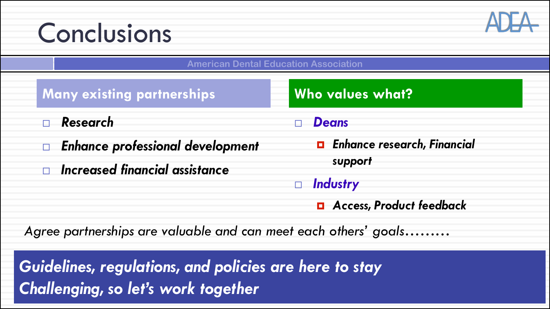## Conclusions



**American Dental Education Association**

### **Many existing partnerships Who values what?**

- *Research*
- *Enhance professional development*
- *Increased financial assistance*

### *Deans*

 *Enhance research, Financial support* 

### *Industry*

*Access, Product feedback*

*Agree partnerships are valuable and can meet each others' goals………* 

*Guidelines, regulations, and policies are here to stay Challenging, so let's work together*